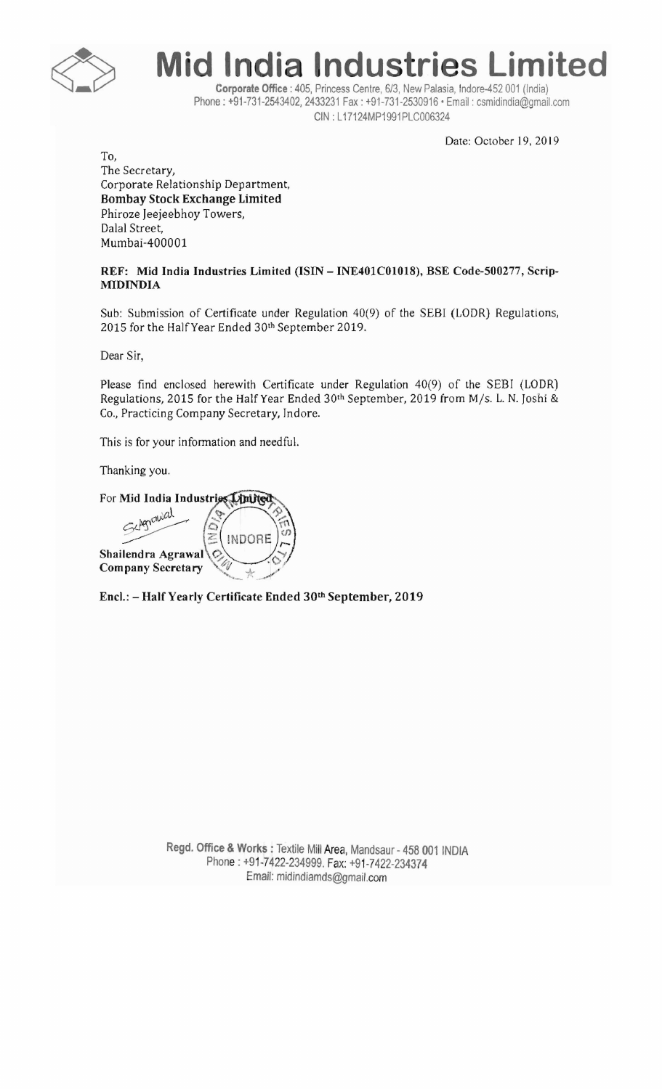

**Mid India Industries Limited** 

**Corporate Office:** 405, Princess Centre, *6/3,* New Palasia, Indore-452 001 (India) Phone: +91-731-2543402, 2433231 Fax: +91-731-2530916' Email: csmidindia@gmail.com CIN : L17124MP1991PLC006324

Date: October 19, 2019

To, The Secretary, Corporate Relationship Department, **Bombay Stock Exchange Limited**  Phiroze Jeejeebhoy Towers, Dalal Street, Mumbai-400001

## **REF: Mid India Industries Limited (ISIN - INE401COI018), BSE Code-500277, Scrip-**MIDINDIA

Sub: Submission of Certificate under Regulation 40(9) of the SEBI (LODR) Regulations, 2015 for the Half Year Ended 30th September 2019.

Dear Sir,

Please find enclosed herewith Certificate under Regulation 40(9) of the SEBI (LODR) Regulations, 2015 for the Half Year Ended 30th September, 2019 from *Mis.* L. N. Joshi & Co., Practicing Company Secretary, Indore.

This *is* for your information and needful.

Thanking you.

For Mid India Industries Linited Anawal **!NDORE**  Shailendra Agrawal \C<sub>2</sub>, **Company Secretary** ~-- / .. - .

**EneI.:** -Half Yearly **Certificate Ended** 30th September, **2019** 

Regd. Office & Works: Textile Mill Area, Mandsaur - 458 001 INDIA Phone: +91-7422-234999. Fax: +91-7422-234374 Email: midindiamds@gmail.com